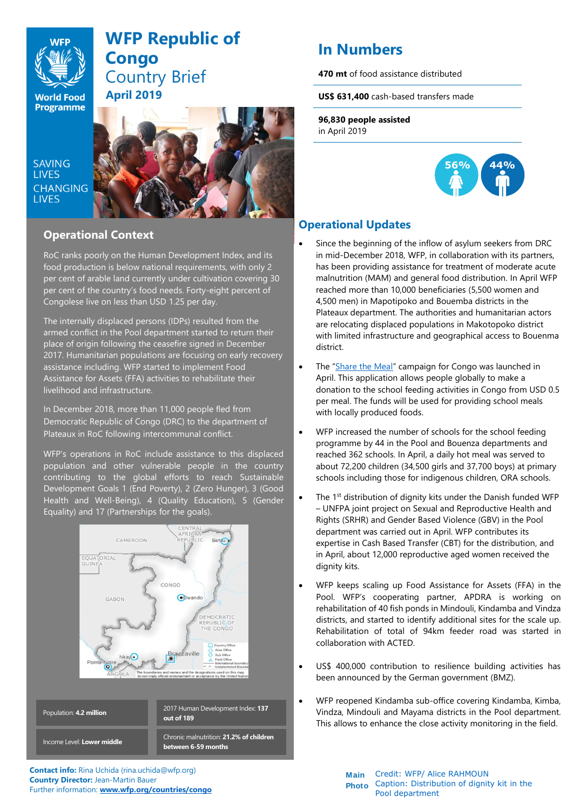

# **WFP Republic of Congo** Country Brief **April 2019**

**SAVING LIVES CHANGING LIVES** 



## **Operational Context**

RoC ranks poorly on the Human Development Index, and its food production is below national requirements, with only 2 per cent of arable land currently under cultivation covering 30 per cent of the country's food needs. Forty-eight percent of Congolese live on less than USD 1.25 per day.

The internally displaced persons (IDPs) resulted from the armed conflict in the Pool department started to return their place of origin following the ceasefire signed in December 2017. Humanitarian populations are focusing on early recovery assistance including. WFP started to implement Food Assistance for Assets (FFA) activities to rehabilitate their livelihood and infrastructure.

In December 2018, more than 11,000 people fled from Democratic Republic of Congo (DRC) to the department of Plateaux in RoC following intercommunal conflict.

WFP's operations in RoC include assistance to this displaced population and other vulnerable people in the country contributing to the global efforts to reach Sustainable Development Goals 1 (End Poverty), 2 (Zero Hunger), 3 (Good Health and Well-Being), 4 (Quality Education), 5 (Gender Equality) and 17 (Partnerships for the goals).



Credit: Caption: **out of 189** Chronic malnutrition: **21.2% of children between 6-59 months** Population: **4.2 million** Income Level: **Lower middle**

**Contact info:** Rina Uchida (rina.uchida@wfp.org) **Country Director:** Jean-Martin Bauer Further information: **[www.wfp.org/countries/congo](http://www.wfp.org/countries/congo)**

# **In Numbers 470 mt** of food assistance distributed

**US\$ 631,400** cash-based transfers made

**96,830 people assisted**  in April 2019



# **Operational Updates**

- Since the beginning of the inflow of asylum seekers from DRC in mid-December 2018, WFP, in collaboration with its partners, has been providing assistance for treatment of moderate acute malnutrition (MAM) and general food distribution. In April WFP reached more than 10,000 beneficiaries (5,500 women and 4,500 men) in Mapotipoko and Bouemba districts in the Plateaux department. The authorities and humanitarian actors are relocating displaced populations in Makotopoko district with limited infrastructure and geographical access to Bouenma district.
- The "[Share the Meal](https://sharethemeal.org/en/index.html)" campaign for Congo was launched in April. This application allows people globally to make a donation to the school feeding activities in Congo from USD 0.5 per meal. The funds will be used for providing school meals with locally produced foods.
- WFP increased the number of schools for the school feeding programme by 44 in the Pool and Bouenza departments and reached 362 schools. In April, a daily hot meal was served to about 72,200 children (34,500 girls and 37,700 boys) at primary schools including those for indigenous children, ORA schools.
- The 1<sup>st</sup> distribution of dignity kits under the Danish funded WFP – UNFPA joint project on Sexual and Reproductive Health and Rights (SRHR) and Gender Based Violence (GBV) in the Pool department was carried out in April. WFP contributes its expertise in Cash Based Transfer (CBT) for the distribution, and in April, about 12,000 reproductive aged women received the dignity kits.
- WFP keeps scaling up Food Assistance for Assets (FFA) in the Pool. WFP's cooperating partner, APDRA is working on rehabilitation of 40 fish ponds in Mindouli, Kindamba and Vindza districts, and started to identify additional sites for the scale up. Rehabilitation of total of 94km feeder road was started in collaboration with ACTED.
- US\$ 400,000 contribution to resilience building activities has been announced by the German government (BMZ).
- WFP reopened Kindamba sub-office covering Kindamba, Kimba, Vindza, Mindouli and Mayama districts in the Pool department. This allows to enhance the close activity monitoring in the field.

**Main Photo** Caption: Distribution of dignity kit in the Credit: WFP/ Alice RAHMOUN Pool department